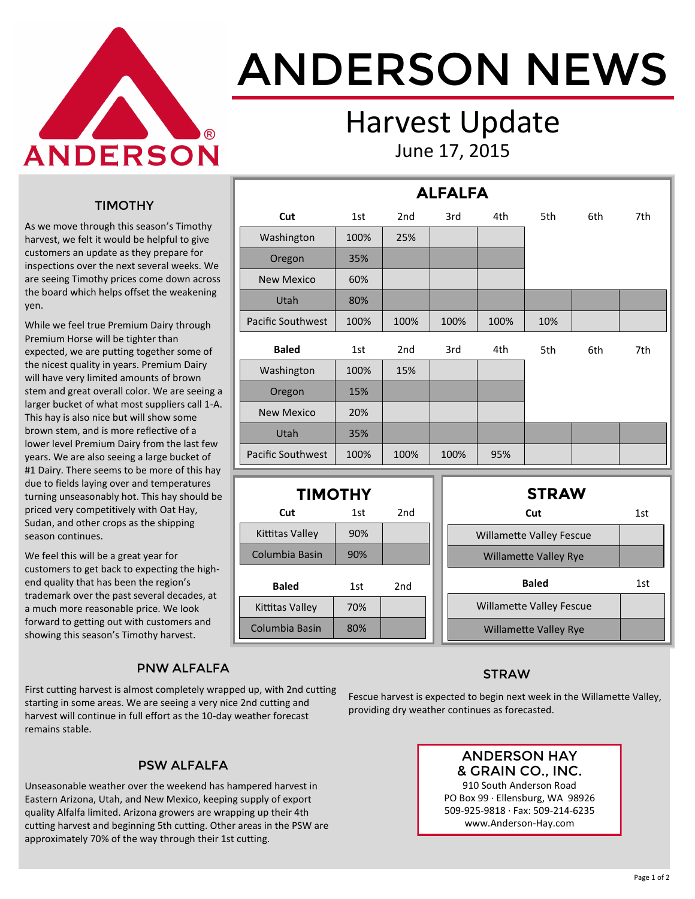

# ANDERSON NEWS

### Harvest Update June 17, 2015

**ALFALFA**

#### TIMOTHY

As we move through this season's Timothy harvest, we felt it would be helpful to give customers an update as they prepare for inspections over the next several weeks. We are seeing Timothy prices come down across the board which helps offset the weakening yen.

While we feel true Premium Dairy through Premium Horse will be tighter than expected, we are putting together some of the nicest quality in years. Premium Dairy will have very limited amounts of brown stem and great overall color. We are seeing a larger bucket of what most suppliers call 1-A. This hay is also nice but will show some brown stem, and is more reflective of a lower level Premium Dairy from the last few years. We are also seeing a large bucket of #1 Dairy. There seems to be more of this hay due to fields laying over and temperatures turning unseasonably hot. This hay should be priced very competitively with Oat Hay, Sudan, and other crops as the shipping season continues.

We feel this will be a great year for customers to get back to expecting the highend quality that has been the region's trademark over the past several decades, at a much more reasonable price. We look forward to getting out with customers and showing this season's Timothy harvest.

#### PNW ALFALFA

First cutting harvest is almost completely wrapped up, with 2nd cutting starting in some areas. We are seeing a very nice 2nd cutting and harvest will continue in full effort as the 10-day weather forecast remains stable.

#### PSW ALFALFA

Unseasonable weather over the weekend has hampered harvest in Eastern Arizona, Utah, and New Mexico, keeping supply of export quality Alfalfa limited. Arizona growers are wrapping up their 4th cutting harvest and beginning 5th cutting. Other areas in the PSW are approximately 70% of the way through their 1st cutting.

|                          |      |                 | . . <i>. .</i> . |      |     |     |     |
|--------------------------|------|-----------------|------------------|------|-----|-----|-----|
| Cut                      | 1st  | 2 <sub>nd</sub> | 3rd              | 4th  | 5th | 6th | 7th |
| Washington               | 100% | 25%             |                  |      |     |     |     |
| Oregon                   | 35%  |                 |                  |      |     |     |     |
| <b>New Mexico</b>        | 60%  |                 |                  |      |     |     |     |
| Utah                     | 80%  |                 |                  |      |     |     |     |
| <b>Pacific Southwest</b> | 100% | 100%            | 100%             | 100% | 10% |     |     |
| <b>Baled</b>             | 1st  | 2 <sub>nd</sub> | 3rd              | 4th  | 5th | 6th | 7th |
| Washington               | 100% | 15%             |                  |      |     |     |     |
| Oregon                   | 15%  |                 |                  |      |     |     |     |
| <b>New Mexico</b>        | 20%  |                 |                  |      |     |     |     |
| Utah                     | 35%  |                 |                  |      |     |     |     |
| <b>Pacific Southwest</b> | 100% | 100%            | 100%             | 95%  |     |     |     |

| <b>TIMOTHY</b>  |     |                 |  | <b>STRAW</b>                    |     |
|-----------------|-----|-----------------|--|---------------------------------|-----|
| Cut             | 1st | 2 <sub>nd</sub> |  | Cut                             | 1st |
| Kittitas Valley | 90% |                 |  | <b>Willamette Valley Fescue</b> |     |
| Columbia Basin  | 90% |                 |  | <b>Willamette Valley Rye</b>    |     |
| <b>Baled</b>    | 1st | 2 <sub>nd</sub> |  | <b>Baled</b>                    | 1st |
| Kittitas Valley | 70% |                 |  | <b>Willamette Valley Fescue</b> |     |
| Columbia Basin  | 80% |                 |  | <b>Willamette Valley Rye</b>    |     |

#### **STRAW**

Fescue harvest is expected to begin next week in the Willamette Valley, providing dry weather continues as forecasted.

#### ANDERSON HAY & GRAIN CO., INC.

910 South Anderson Road PO Box 99 · Ellensburg, WA 98926 509-925-9818 · Fax: 509-214-6235 www.Anderson-Hay.com